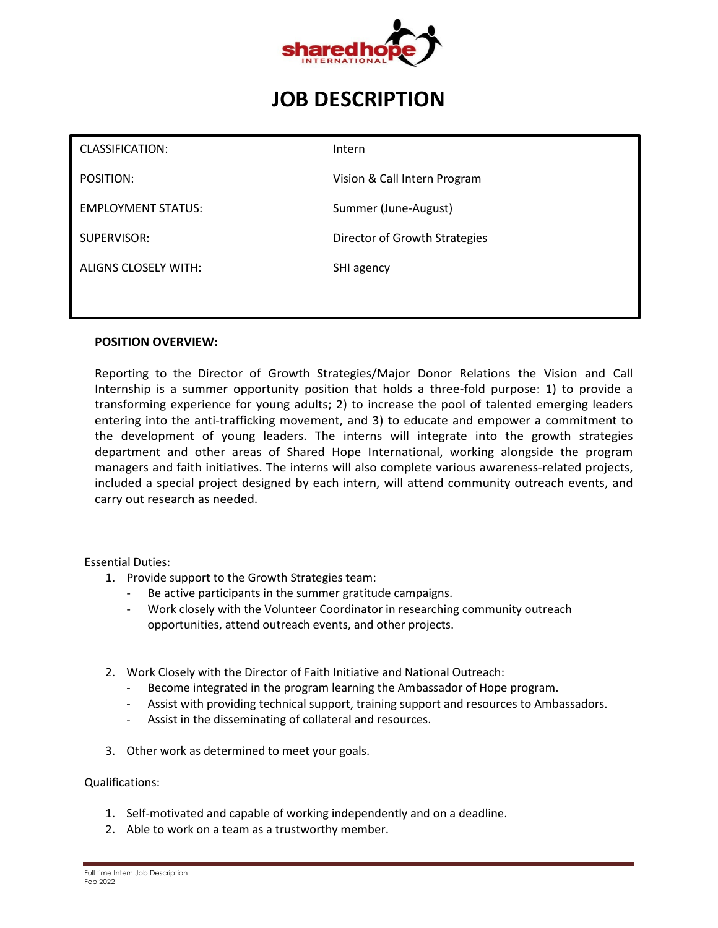

# **JOB DESCRIPTION**

| CLASSIFICATION:           | Intern                        |
|---------------------------|-------------------------------|
| POSITION:                 | Vision & Call Intern Program  |
| <b>EMPLOYMENT STATUS:</b> | Summer (June-August)          |
| SUPERVISOR:               | Director of Growth Strategies |
| ALIGNS CLOSELY WITH:      | SHI agency                    |
|                           |                               |

#### **POSITION OVERVIEW:**

Reporting to the Director of Growth Strategies/Major Donor Relations the Vision and Call Internship is a summer opportunity position that holds a three-fold purpose: 1) to provide a transforming experience for young adults; 2) to increase the pool of talented emerging leaders entering into the anti-trafficking movement, and 3) to educate and empower a commitment to the development of young leaders. The interns will integrate into the growth strategies department and other areas of Shared Hope International, working alongside the program managers and faith initiatives. The interns will also complete various awareness-related projects, included a special project designed by each intern, will attend community outreach events, and carry out research as needed.

# Essential Duties:

- 1. Provide support to the Growth Strategies team:
	- Be active participants in the summer gratitude campaigns.
	- Work closely with the Volunteer Coordinator in researching community outreach opportunities, attend outreach events, and other projects.
- 2. Work Closely with the Director of Faith Initiative and National Outreach:
	- Become integrated in the program learning the Ambassador of Hope program.
	- Assist with providing technical support, training support and resources to Ambassadors.
	- Assist in the disseminating of collateral and resources.
- 3. Other work as determined to meet your goals.

#### Qualifications:

- 1. Self-motivated and capable of working independently and on a deadline.
- 2. Able to work on a team as a trustworthy member.